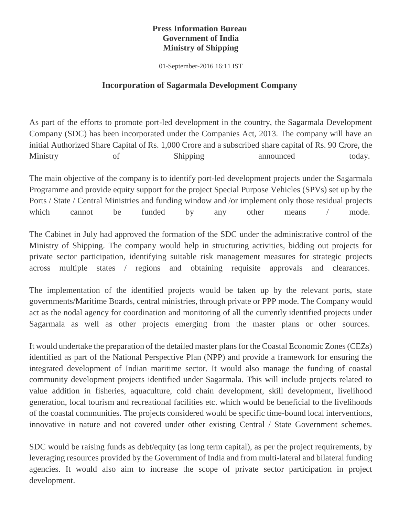## **Press Information Bureau Government of India Ministry of Shipping**

01-September-2016 16:11 IST

## **Incorporation of Sagarmala Development Company**

As part of the efforts to promote port-led development in the country, the Sagarmala Development Company (SDC) has been incorporated under the Companies Act, 2013. The company will have an initial Authorized Share Capital of Rs. 1,000 Crore and a subscribed share capital of Rs. 90 Crore, the Ministry of Shipping announced today.

The main objective of the company is to identify port-led development projects under the Sagarmala Programme and provide equity support for the project Special Purpose Vehicles (SPVs) set up by the Ports / State / Central Ministries and funding window and /or implement only those residual projects which cannot be funded by any other means / mode.

The Cabinet in July had approved the formation of the SDC under the administrative control of the Ministry of Shipping. The company would help in structuring activities, bidding out projects for private sector participation, identifying suitable risk management measures for strategic projects across multiple states / regions and obtaining requisite approvals and clearances.

The implementation of the identified projects would be taken up by the relevant ports, state governments/Maritime Boards, central ministries, through private or PPP mode. The Company would act as the nodal agency for coordination and monitoring of all the currently identified projects under Sagarmala as well as other projects emerging from the master plans or other sources.

It would undertake the preparation of the detailed master plans for the Coastal Economic Zones (CEZs) identified as part of the National Perspective Plan (NPP) and provide a framework for ensuring the integrated development of Indian maritime sector. It would also manage the funding of coastal community development projects identified under Sagarmala. This will include projects related to value addition in fisheries, aquaculture, cold chain development, skill development, livelihood generation, local tourism and recreational facilities etc. which would be beneficial to the livelihoods of the coastal communities. The projects considered would be specific time-bound local interventions, innovative in nature and not covered under other existing Central / State Government schemes.

SDC would be raising funds as debt/equity (as long term capital), as per the project requirements, by leveraging resources provided by the Government of India and from multi-lateral and bilateral funding agencies. It would also aim to increase the scope of private sector participation in project development.